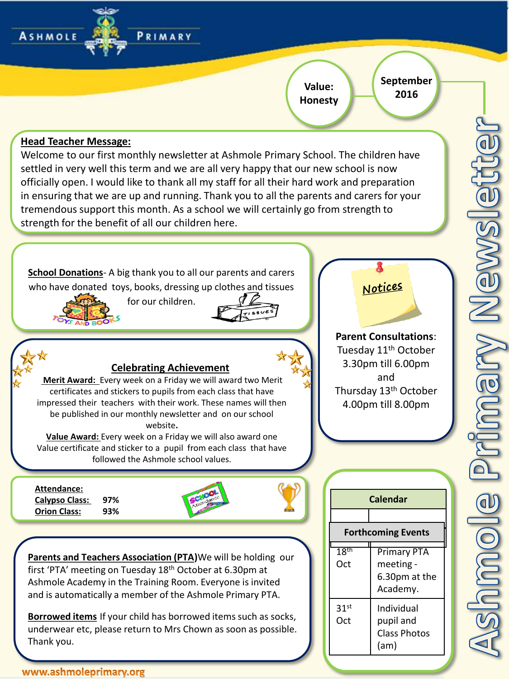## **Value: Honesty**

**September 2016**

(am)

### **Head Teacher Message:**

**ASHMOLE** 

Welcome to our first monthly newsletter at Ashmole Primary School. The children have settled in very well this term and we are all very happy that our new school is now officially open. I would like to thank all my staff for all their hard work and preparation in ensuring that we are up and running. Thank you to all the parents and carers for your tremendous support this month. As a school we will certainly go from strength to strength for the benefit of all our children here.

PRIMARY



Thank you.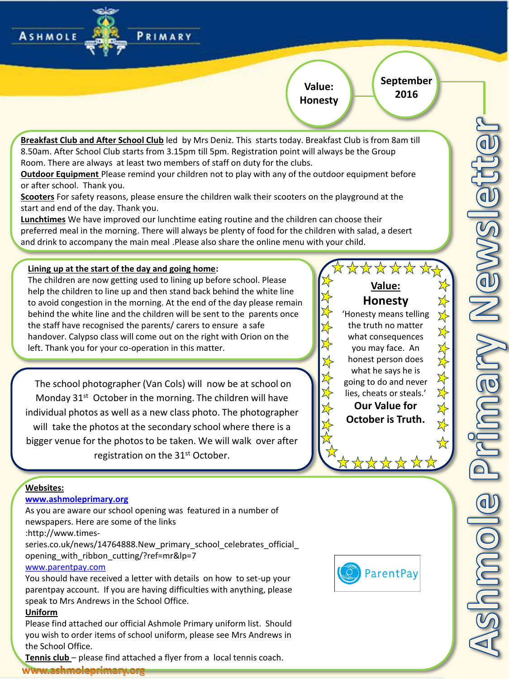#### **September 2016 Value: Honesty**

**Breakfast Club and After School Club** led by Mrs Deniz. This starts today. Breakfast Club is from 8am till 8.50am. After School Club starts from 3.15pm till 5pm. Registration point will always be the Group Room. There are always at least two members of staff on duty for the clubs.

**Outdoor Equipment** Please remind your children not to play with any of the outdoor equipment before or after school. Thank you.

**Scooters** For safety reasons, please ensure the children walk their scooters on the playground at the start and end of the day. Thank you.

**Lunchtimes** We have improved our lunchtime eating routine and the children can choose their preferred meal in the morning. There will always be plenty of food for the children with salad, a desert and drink to accompany the main meal .Please also share the online menu with your child.

#### **Lining up at the start of the day and going home:**

The children are now getting used to lining up before school. Please help the children to line up and then stand back behind the white line to avoid congestion in the morning. At the end of the day please remain behind the white line and the children will be sent to the parents once the staff have recognised the parents/ carers to ensure a safe handover. Calypso class will come out on the right with Orion on the left. Thank you for your co-operation in this matter.

PRIMARY

The school photographer (Van Cols) will now be at school on Monday 31<sup>st</sup> October in the morning. The children will have individual photos as well as a new class photo. The photographer will take the photos at the secondary school where there is a bigger venue for the photos to be taken. We will walk over after registration on the 31<sup>st</sup> October.

\*\*\*\*\* **Value: Honesty** 'Honesty means telling the truth no matter what consequences you may face. An honest person does what he says he is going to do and never lies, cheats or steals.' **Our Value for October is Truth.**

#### **Websites:**

**ASHMOLE** 

#### **[www.ashmoleprimary.org](http://www.ashmoleprimary.org/)**

As you are aware our school opening was featured in a number of newspapers. Here are some of the links :http://www.timesseries.co.uk/news/14764888.New\_primary\_school\_celebrates\_official\_

opening\_with\_ribbon\_cutting/?ref=mr&lp=7

#### [www.parentpay.com](http://www.parentpay.com/)

You should have received a letter with details on how to set-up your parentpay account. If you are having difficulties with anything, please speak to Mrs Andrews in the School Office.

#### **Uniform**

Please find attached our official Ashmole Primary uniform list. Should you wish to order items of school uniform, please see Mrs Andrews in the School Office.

**Tennis club** – please find attached a flyer from a local tennis coach.